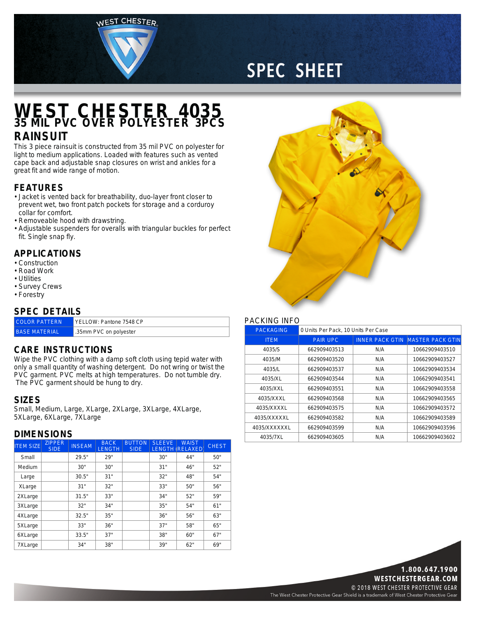WEST CHESTER



# **SPEC SHEET**

### **WEST CHESTER 4035 35 MIL PVC OVER POLYESTER 3PCS**

### **RAINSUIT**

This 3 piece rainsuit is constructed from 35 mil PVC on polyester for light to medium applications. Loaded with features such as vented cape back and adjustable snap closures on wrist and ankles for <sup>a</sup> great fit and wide range of motion.

#### **FEATURES**

- Jacket is vented back for breathability, duo-layer front closer to prevent wet, two front patch pockets for storage and <sup>a</sup> corduroy collar for comfort.
- Removeable hood with drawstring.
- Adjustable suspenders for overalls with triangular buckles for perfect fit. Single snap fly.

#### **APPLICATIONS**

- Construction
- Road Work
- Utilities
- Survey Crews
- Forestry

#### **SPEC DETAILS**

| - - - - - - -        |                         |  |  |  |
|----------------------|-------------------------|--|--|--|
| <b>COLOR PATTERN</b> | YELLOW: Pantone 7548 CP |  |  |  |
| <b>BASE MATERIAL</b> | .35mm PVC on polyester  |  |  |  |

#### **CARE INSTRUCTIONS**

Wipe the PVC clothing with <sup>a</sup> damp soft cloth using tepid water with only <sup>a</sup> small quantity of washing detergent. Do not wring or twist the PVC garment. PVC melts at high temperatures. Do not tumble dry. The PVC garment should be hung to dry.

#### **SIZES**

Small, Medium, Large, XLarge, 2XLarge, 3XLarge, 4XLarge, 5XLarge, 6XLarge, 7XLarge

#### **DIMENSIONS**

| <b>ITEM SIZE</b> | <b>ZIPPER</b><br>SIDE. | <b>INSEAM</b> | <b>BACK</b><br><b>LENGTH</b> | <b>BUTTON</b><br><b>SIDE</b> | <b>SLEEVE</b> | <b>WAIST</b><br><b>LENGTH (RELAXED)</b> | <b>CHEST</b> |
|------------------|------------------------|---------------|------------------------------|------------------------------|---------------|-----------------------------------------|--------------|
| Small            |                        | 29.5"         | 29"                          |                              | 30"           | 44"                                     | 50"          |
| Medium           |                        | 30"           | 30"                          |                              | 31"           | 46"                                     | 52"          |
| Large            |                        | 30.5"         | 31"                          |                              | 32"           | 48"                                     | 54"          |
| XLarge           |                        | 31"           | 32"                          |                              | 33"           | 50"                                     | 56"          |
| 2XLarge          |                        | 31.5"         | 33"                          |                              | 34"           | 52"                                     | 59"          |
| 3XLarge          |                        | 32"           | 34"                          |                              | 35"           | 54"                                     | 61"          |
| 4XLarge          |                        | 32.5"         | 35"                          |                              | 36"           | 56"                                     | 63"          |
| 5XLarge          |                        | 33"           | 36"                          |                              | 37"           | 58"                                     | 65"          |
| 6XLarge          |                        | 33.5"         | 37"                          |                              | 38"           | 60"                                     | 67"          |
| 7XLarge          |                        | 34"           | 38"                          |                              | 39"           | 62"                                     | 69"          |



#### PACKING INFO

| <b>PACKAGING</b> | 0 Units Per Pack, 10 Units Per Case |     |                                         |  |  |
|------------------|-------------------------------------|-----|-----------------------------------------|--|--|
| <b>ITEM</b>      | <b>PAIR UPC</b>                     |     | <b>INNER PACK GTIN MASTER PACK GTIN</b> |  |  |
| 4035/S           | 662909403513                        | N/A | 10662909403510                          |  |  |
| 4035/M           | 662909403520                        | N/A | 10662909403527                          |  |  |
| 4035/L           | 662909403537                        | N/A | 10662909403534                          |  |  |
| 4035/XL          | 662909403544                        | N/A | 10662909403541                          |  |  |
| 4035/XXL         | 662909403551                        | N/A | 10662909403558                          |  |  |
| 4035/XXXL        | 662909403568                        | N/A | 10662909403565                          |  |  |
| 4035/XXXXL       | 662909403575                        | N/A | 10662909403572                          |  |  |
| 4035/XXXXXL      | 662909403582                        | N/A | 10662909403589                          |  |  |
| 4035/XXXXXXL     | 662909403599                        | N/A | 10662909403596                          |  |  |
| 4035/7XL         | 662909403605                        | N/A | 10662909403602                          |  |  |



© 2018 WEST CHESTER PROTECTIVE GEAR The West Chester Protective Gear Shield is a trademark of West Chester Protective Gear